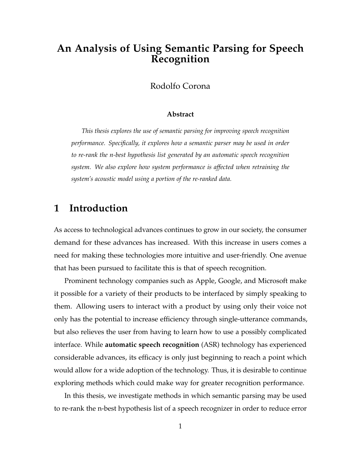# **An Analysis of Using Semantic Parsing for Speech Recognition**

Rodolfo Corona

#### **Abstract**

*This thesis explores the use of semantic parsing for improving speech recognition performance. Specifically, it explores how a semantic parser may be used in order to re-rank the n-best hypothesis list generated by an automatic speech recognition system. We also explore how system performance is affected when retraining the system's acoustic model using a portion of the re-ranked data.*

# **1 Introduction**

As access to technological advances continues to grow in our society, the consumer demand for these advances has increased. With this increase in users comes a need for making these technologies more intuitive and user-friendly. One avenue that has been pursued to facilitate this is that of speech recognition.

Prominent technology companies such as Apple, Google, and Microsoft make it possible for a variety of their products to be interfaced by simply speaking to them. Allowing users to interact with a product by using only their voice not only has the potential to increase efficiency through single-utterance commands, but also relieves the user from having to learn how to use a possibly complicated interface. While **automatic speech recognition** (ASR) technology has experienced considerable advances, its efficacy is only just beginning to reach a point which would allow for a wide adoption of the technology. Thus, it is desirable to continue exploring methods which could make way for greater recognition performance.

In this thesis, we investigate methods in which semantic parsing may be used to re-rank the n-best hypothesis list of a speech recognizer in order to reduce error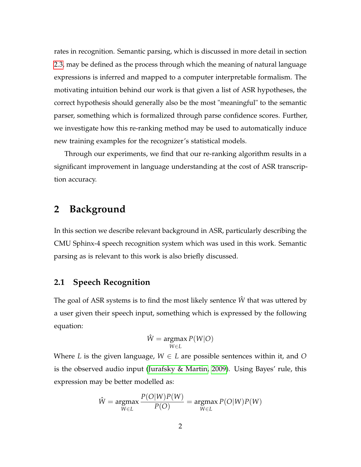rates in recognition. Semantic parsing, which is discussed in more detail in section [2.3,](#page-6-0) may be defined as the process through which the meaning of natural language expressions is inferred and mapped to a computer interpretable formalism. The motivating intuition behind our work is that given a list of ASR hypotheses, the correct hypothesis should generally also be the most "meaningful" to the semantic parser, something which is formalized through parse confidence scores. Further, we investigate how this re-ranking method may be used to automatically induce new training examples for the recognizer's statistical models.

Through our experiments, we find that our re-ranking algorithm results in a significant improvement in language understanding at the cost of ASR transcription accuracy.

## **2 Background**

In this section we describe relevant background in ASR, particularly describing the CMU Sphinx-4 speech recognition system which was used in this work. Semantic parsing as is relevant to this work is also briefly discussed.

#### <span id="page-1-0"></span>**2.1 Speech Recognition**

The goal of ASR systems is to find the most likely sentence  $\hat{W}$  that was uttered by a user given their speech input, something which is expressed by the following equation:

$$
\hat{W} = \underset{W \in L}{\operatorname{argmax}} P(W|O)
$$

Where *L* is the given language,  $W \in L$  are possible sentences within it, and *O* is the observed audio input [\(Jurafsky & Martin, 2009\)](#page-33-0). Using Bayes' rule, this expression may be better modelled as:

$$
\hat{W} = \underset{W \in L}{\operatorname{argmax}} \frac{P(O|W)P(W)}{P(O)} = \underset{W \in L}{\operatorname{argmax}} P(O|W)P(W)
$$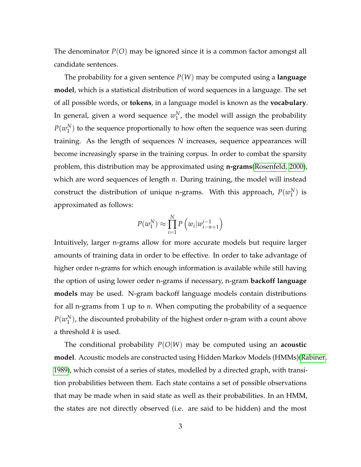The denominator *P*(*O*) may be ignored since it is a common factor amongst all candidate sentences.

The probability for a given sentence *P*(*W*) may be computed using a **language model**, which is a statistical distribution of word sequences in a language. The set of all possible words, or **tokens**, in a language model is known as the **vocabulary**. In general, given a word sequence  $w_1^N$  $_1^N$ , the model will assign the probability  $P(w_1^N)$  $_1^N$ ) to the sequence proportionally to how often the sequence was seen during training. As the length of sequences *N* increases, sequence appearances will become increasingly sparse in the training corpus. In order to combat the sparsity problem, this distribution may be approximated using **n-grams**[\(Rosenfeld, 2000\)](#page-34-0), which are word sequences of length *n*. During training, the model will instead construct the distribution of unique n-grams. With this approach,  $P(w_1^N)$  $_1^N$ ) is approximated as follows:

$$
P(w_1^N) \approx \prod_{i=1}^N P\left(w_i | w_{i-n+1}^{i-1}\right)
$$

Intuitively, larger n-grams allow for more accurate models but require larger amounts of training data in order to be effective. In order to take advantage of higher order n-grams for which enough information is available while still having the option of using lower order n-grams if necessary, n-gram **backoff language models** may be used. N-gram backoff language models contain distributions for all n-grams from 1 up to *n*. When computing the probability of a sequence  $P(w_1^N)$  $_1^N$ ), the discounted probability of the highest order n-gram with a count above a threshold *k* is used.

The conditional probability *P*(*O*|*W*) may be computed using an **acoustic model**. Acoustic models are constructed using Hidden Markov Models (HMMs)[\(Rabiner,](#page-34-1) [1989\)](#page-34-1), which consist of a series of states, modelled by a directed graph, with transition probabilities between them. Each state contains a set of possible observations that may be made when in said state as well as their probabilities. In an HMM, the states are not directly observed (i.e. are said to be hidden) and the most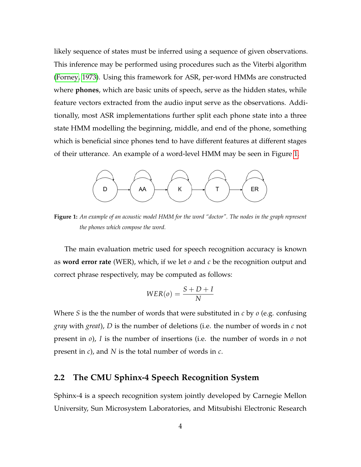likely sequence of states must be inferred using a sequence of given observations. This inference may be performed using procedures such as the Viterbi algorithm [\(Forney, 1973\)](#page-33-1). Using this framework for ASR, per-word HMMs are constructed where **phones**, which are basic units of speech, serve as the hidden states, while feature vectors extracted from the audio input serve as the observations. Additionally, most ASR implementations further split each phone state into a three state HMM modelling the beginning, middle, and end of the phone, something which is beneficial since phones tend to have different features at different stages of their utterance. An example of a word-level HMM may be seen in Figure [1.](#page-3-0)

<span id="page-3-0"></span>

**Figure 1:** *An example of an acoustic model HMM for the word "doctor". The nodes in the graph represent the phones which compose the word.*

The main evaluation metric used for speech recognition accuracy is known as **word error rate** (WER), which, if we let *o* and *c* be the recognition output and correct phrase respectively, may be computed as follows:

$$
WER(o) = \frac{S + D + I}{N}
$$

Where *S* is the the number of words that were substituted in *c* by *o* (e.g. confusing *gray* with *great*), *D* is the number of deletions (i.e. the number of words in *c* not present in *o*), *I* is the number of insertions (i.e. the number of words in *o* not present in *c*), and *N* is the total number of words in *c*.

### **2.2 The CMU Sphinx-4 Speech Recognition System**

Sphinx-4 is a speech recognition system jointly developed by Carnegie Mellon University, Sun Microsystem Laboratories, and Mitsubishi Electronic Research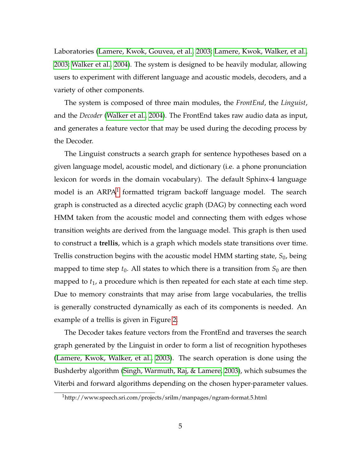Laboratories [\(Lamere, Kwok, Gouvea, et al., 2003;](#page-33-2) [Lamere, Kwok, Walker, et al.,](#page-34-2) [2003;](#page-34-2) [Walker et al., 2004\)](#page-35-0). The system is designed to be heavily modular, allowing users to experiment with different language and acoustic models, decoders, and a variety of other components.

The system is composed of three main modules, the *FrontEnd*, the *Linguist*, and the *Decoder* [\(Walker et al., 2004\)](#page-35-0). The FrontEnd takes raw audio data as input, and generates a feature vector that may be used during the decoding process by the Decoder.

The Linguist constructs a search graph for sentence hypotheses based on a given language model, acoustic model, and dictionary (i.e. a phone pronunciation lexicon for words in the domain vocabulary). The default Sphinx-4 language model is an  $\rm ARPA^1$  $\rm ARPA^1$  formatted trigram backoff language model. The search graph is constructed as a directed acyclic graph (DAG) by connecting each word HMM taken from the acoustic model and connecting them with edges whose transition weights are derived from the language model. This graph is then used to construct a **trellis**, which is a graph which models state transitions over time. Trellis construction begins with the acoustic model HMM starting state, *S*0, being mapped to time step  $t_0$ . All states to which there is a transition from  $S_0$  are then mapped to *t*1, a procedure which is then repeated for each state at each time step. Due to memory constraints that may arise from large vocabularies, the trellis is generally constructed dynamically as each of its components is needed. An example of a trellis is given in Figure [2.](#page-5-0)

The Decoder takes feature vectors from the FrontEnd and traverses the search graph generated by the Linguist in order to form a list of recognition hypotheses [\(Lamere, Kwok, Walker, et al., 2003\)](#page-34-2). The search operation is done using the Bushderby algorithm [\(Singh, Warmuth, Raj, & Lamere, 2003\)](#page-34-3), which subsumes the Viterbi and forward algorithms depending on the chosen hyper-parameter values.

<span id="page-4-0"></span><sup>1</sup>http://www.speech.sri.com/projects/srilm/manpages/ngram-format.5.html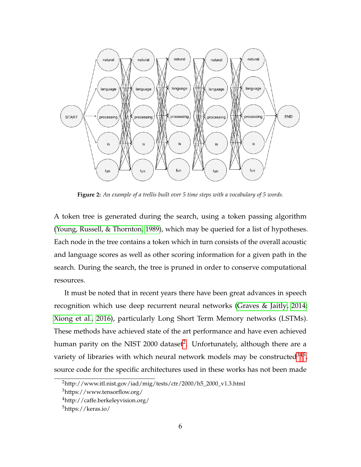<span id="page-5-0"></span>

**Figure 2:** *An example of a trellis built over 5 time steps with a vocabulary of 5 words.*

A token tree is generated during the search, using a token passing algorithm [\(Young, Russell, & Thornton, 1989\)](#page-35-1), which may be queried for a list of hypotheses. Each node in the tree contains a token which in turn consists of the overall acoustic and language scores as well as other scoring information for a given path in the search. During the search, the tree is pruned in order to conserve computational resources.

It must be noted that in recent years there have been great advances in speech recognition which use deep recurrent neural networks [\(Graves & Jaitly, 2014;](#page-33-3) [Xiong et al., 2016\)](#page-35-2), particularly Long Short Term Memory networks (LSTMs). These methods have achieved state of the art performance and have even achieved human parity on the NIST [2](#page-5-1)000 dataset<sup>2</sup>. Unfortunately, although there are a variety of libraries with which neural network models may be constructed $345$  $345$  $345$ , source code for the specific architectures used in these works has not been made

<span id="page-5-2"></span><span id="page-5-1"></span><sup>2</sup>http://www.itl.nist.gov/iad/mig/tests/ctr/2000/h5\_2000\_v1.3.html

<span id="page-5-3"></span><sup>3</sup>https://www.tensorflow.org/

<span id="page-5-4"></span><sup>4</sup>http://caffe.berkeleyvision.org/

<sup>5</sup>https://keras.io/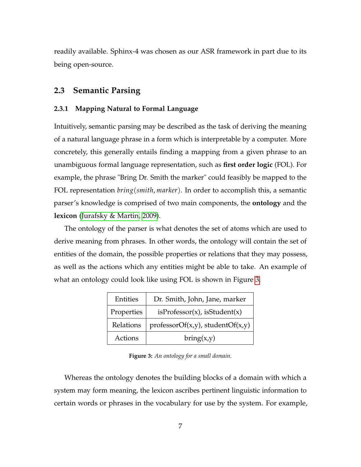readily available. Sphinx-4 was chosen as our ASR framework in part due to its being open-source.

### <span id="page-6-0"></span>**2.3 Semantic Parsing**

#### **2.3.1 Mapping Natural to Formal Language**

Intuitively, semantic parsing may be described as the task of deriving the meaning of a natural language phrase in a form which is interpretable by a computer. More concretely, this generally entails finding a mapping from a given phrase to an unambiguous formal language representation, such as **first order logic** (FOL). For example, the phrase "Bring Dr. Smith the marker" could feasibly be mapped to the FOL representation *bring*(*smith*, *marker*). In order to accomplish this, a semantic parser's knowledge is comprised of two main components, the **ontology** and the **lexicon** [\(Jurafsky & Martin, 2009\)](#page-33-0).

The ontology of the parser is what denotes the set of atoms which are used to derive meaning from phrases. In other words, the ontology will contain the set of entities of the domain, the possible properties or relations that they may possess, as well as the actions which any entities might be able to take. An example of what an ontology could look like using FOL is shown in Figure [3.](#page-6-1)

<span id="page-6-1"></span>

| Entities   | Dr. Smith, John, Jane, marker          |
|------------|----------------------------------------|
| Properties | isProfessor(x), isStudent(x)           |
| Relations  | $professorOf(x,y)$ , student $Of(x,y)$ |
| Actions    | bring(x,y)                             |

**Figure 3:** *An ontology for a small domain.*

Whereas the ontology denotes the building blocks of a domain with which a system may form meaning, the lexicon ascribes pertinent linguistic information to certain words or phrases in the vocabulary for use by the system. For example,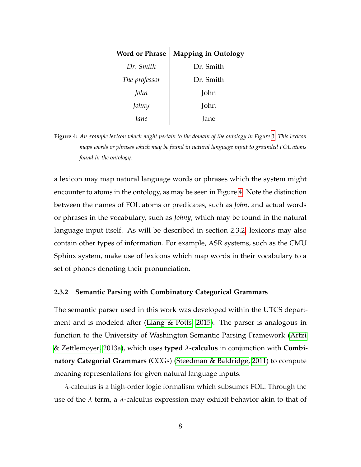<span id="page-7-0"></span>

| <b>Word or Phrase</b> | <b>Mapping in Ontology</b> |
|-----------------------|----------------------------|
| Dr. Smith             | Dr. Smith                  |
| The professor         | Dr. Smith                  |
| John                  | John                       |
| Johny                 | John                       |
| Jane                  | Jane                       |

**Figure 4:** *An example lexicon which might pertain to the domain of the ontology in Figure [3.](#page-6-1) This lexicon maps words or phrases which may be found in natural language input to grounded FOL atoms found in the ontology.*

a lexicon may map natural language words or phrases which the system might encounter to atoms in the ontology, as may be seen in Figure [4.](#page-7-0) Note the distinction between the names of FOL atoms or predicates, such as *John*, and actual words or phrases in the vocabulary, such as *Johny*, which may be found in the natural language input itself. As will be described in section [2.3.2,](#page-7-1) lexicons may also contain other types of information. For example, ASR systems, such as the CMU Sphinx system, make use of lexicons which map words in their vocabulary to a set of phones denoting their pronunciation.

#### <span id="page-7-1"></span>**2.3.2 Semantic Parsing with Combinatory Categorical Grammars**

The semantic parser used in this work was developed within the UTCS department and is modeled after [\(Liang & Potts, 2015\)](#page-34-4). The parser is analogous in function to the University of Washington Semantic Parsing Framework [\(Artzi](#page-33-4) [& Zettlemoyer, 2013a\)](#page-33-4), which uses **typed** *λ***-calculus** in conjunction with **Combinatory Categorial Grammars** (CCGs) [\(Steedman & Baldridge, 2011\)](#page-34-5) to compute meaning representations for given natural language inputs.

*λ*-calculus is a high-order logic formalism which subsumes FOL. Through the use of the *λ* term, a *λ*-calculus expression may exhibit behavior akin to that of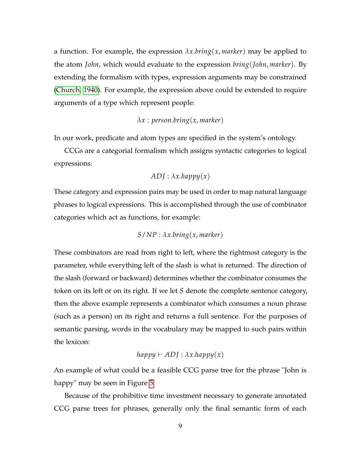a function. For example, the expression  $\lambda x \cdot b \cdot r \cdot n g(x, \text{marker})$  may be applied to the atom *John*, which would evaluate to the expression *bring*(*John*, *marker*). By extending the formalism with types, expression arguments may be constrained [\(Church, 1940\)](#page-33-5). For example, the expression above could be extended to require arguments of a type which represent people:

#### *λx* : *person*.*bring*(*x*, *marker*)

In our work, predicate and atom types are specified in the system's ontology.

CCGs are a categorial formalism which assigns syntactic categories to logical expressions:

$$
ADJ: \lambda x.happy(x)
$$

These category and expression pairs may be used in order to map natural language phrases to logical expressions. This is accomplished through the use of combinator categories which act as functions, for example:

$$
S/NP: \lambda x. bring(x, marker)
$$

These combinators are read from right to left, where the rightmost category is the parameter, while everything left of the slash is what is returned. The direction of the slash (forward or backward) determines whether the combinator consumes the token on its left or on its right. If we let *S* denote the complete sentence category, then the above example represents a combinator which consumes a noun phrase (such as a person) on its right and returns a full sentence. For the purposes of semantic parsing, words in the vocabulary may be mapped to such pairs within the lexicon:

$$
happy \vdash ADJ : \lambda x.happy(x)
$$

An example of what could be a feasible CCG parse tree for the phrase "John is happy" may be seen in Figure [5.](#page-9-0)

Because of the prohibitive time investment necessary to generate annotated CCG parse trees for phrases, generally only the final semantic form of each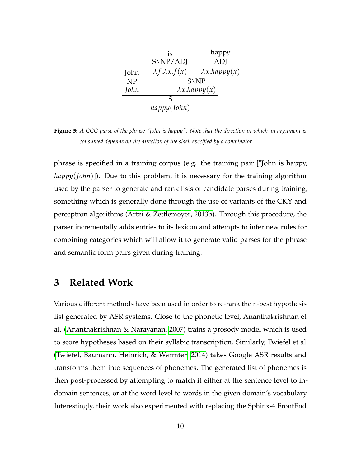<span id="page-9-0"></span>

|                        | is                          | happy                    |
|------------------------|-----------------------------|--------------------------|
|                        | $S\NP/ADI$                  | ADJ                      |
| John                   | $\lambda f. \lambda x.f(x)$ | $\lambda x.$ happy $(x)$ |
| $\overline{\text{NP}}$ |                             | $S\backslash NP$         |
| John                   |                             | $\lambda x.$ happy $(x)$ |
|                        | S                           |                          |
|                        | $h$ appy $(J$ ohn $)$       |                          |

**Figure 5:** *A CCG parse of the phrase "John is happy". Note that the direction in which an argument is consumed depends on the direction of the slash specified by a combinator.*

phrase is specified in a training corpus (e.g. the training pair ["John is happy, *happy*(*John*)]). Due to this problem, it is necessary for the training algorithm used by the parser to generate and rank lists of candidate parses during training, something which is generally done through the use of variants of the CKY and perceptron algorithms [\(Artzi & Zettlemoyer, 2013b\)](#page-33-6). Through this procedure, the parser incrementally adds entries to its lexicon and attempts to infer new rules for combining categories which will allow it to generate valid parses for the phrase and semantic form pairs given during training.

### **3 Related Work**

Various different methods have been used in order to re-rank the n-best hypothesis list generated by ASR systems. Close to the phonetic level, Ananthakrishnan et al. [\(Ananthakrishnan & Narayanan, 2007\)](#page-33-7) trains a prosody model which is used to score hypotheses based on their syllabic transcription. Similarly, Twiefel et al. [\(Twiefel, Baumann, Heinrich, & Wermter, 2014\)](#page-35-3) takes Google ASR results and transforms them into sequences of phonemes. The generated list of phonemes is then post-processed by attempting to match it either at the sentence level to indomain sentences, or at the word level to words in the given domain's vocabulary. Interestingly, their work also experimented with replacing the Sphinx-4 FrontEnd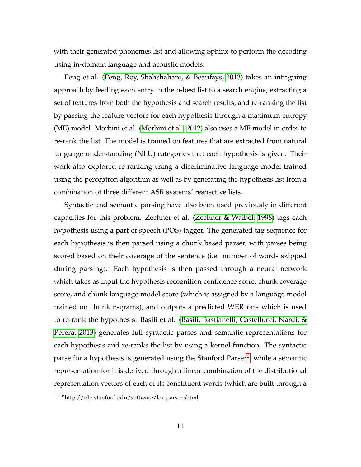with their generated phonemes list and allowing Sphinx to perform the decoding using in-domain language and acoustic models.

Peng et al. [\(Peng, Roy, Shahshahani, & Beaufays, 2013\)](#page-34-6) takes an intriguing approach by feeding each entry in the n-best list to a search engine, extracting a set of features from both the hypothesis and search results, and re-ranking the list by passing the feature vectors for each hypothesis through a maximum entropy (ME) model. Morbini et al. [\(Morbini et al., 2012\)](#page-34-7) also uses a ME model in order to re-rank the list. The model is trained on features that are extracted from natural language understanding (NLU) categories that each hypothesis is given. Their work also explored re-ranking using a discriminative language model trained using the perceptron algorithm as well as by generating the hypothesis list from a combination of three different ASR systems' respective lists.

Syntactic and semantic parsing have also been used previously in different capacities for this problem. Zechner et al. [\(Zechner & Waibel, 1998\)](#page-35-4) tags each hypothesis using a part of speech (POS) tagger. The generated tag sequence for each hypothesis is then parsed using a chunk based parser, with parses being scored based on their coverage of the sentence (i.e. number of words skipped during parsing). Each hypothesis is then passed through a neural network which takes as input the hypothesis recognition confidence score, chunk coverage score, and chunk language model score (which is assigned by a language model trained on chunk n-grams), and outputs a predicted WER rate which is used to re-rank the hypothesis. Basili et al. [\(Basili, Bastianelli, Castellucci, Nardi, &](#page-33-8) [Perera, 2013\)](#page-33-8) generates full syntactic parses and semantic representations for each hypothesis and re-ranks the list by using a kernel function. The syntactic parse for a hypothesis is generated using the Stanford Parser<sup>[6](#page-10-0)</sup>, while a semantic representation for it is derived through a linear combination of the distributional representation vectors of each of its constituent words (which are built through a

<span id="page-10-0"></span><sup>6</sup>http://nlp.stanford.edu/software/lex-parser.shtml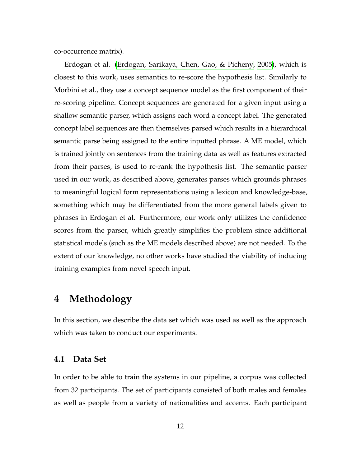co-occurrence matrix).

Erdogan et al. [\(Erdogan, Sarikaya, Chen, Gao, & Picheny, 2005\)](#page-33-9), which is closest to this work, uses semantics to re-score the hypothesis list. Similarly to Morbini et al., they use a concept sequence model as the first component of their re-scoring pipeline. Concept sequences are generated for a given input using a shallow semantic parser, which assigns each word a concept label. The generated concept label sequences are then themselves parsed which results in a hierarchical semantic parse being assigned to the entire inputted phrase. A ME model, which is trained jointly on sentences from the training data as well as features extracted from their parses, is used to re-rank the hypothesis list. The semantic parser used in our work, as described above, generates parses which grounds phrases to meaningful logical form representations using a lexicon and knowledge-base, something which may be differentiated from the more general labels given to phrases in Erdogan et al. Furthermore, our work only utilizes the confidence scores from the parser, which greatly simplifies the problem since additional statistical models (such as the ME models described above) are not needed. To the extent of our knowledge, no other works have studied the viability of inducing training examples from novel speech input.

## **4 Methodology**

In this section, we describe the data set which was used as well as the approach which was taken to conduct our experiments.

#### **4.1 Data Set**

In order to be able to train the systems in our pipeline, a corpus was collected from 32 participants. The set of participants consisted of both males and females as well as people from a variety of nationalities and accents. Each participant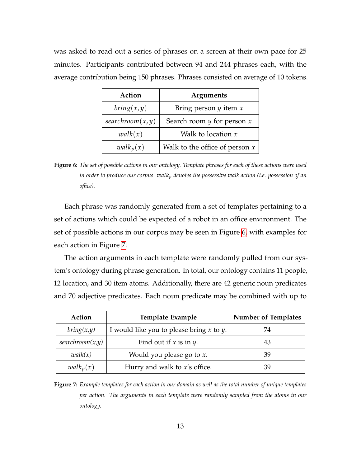<span id="page-12-0"></span>was asked to read out a series of phrases on a screen at their own pace for 25 minutes. Participants contributed between 94 and 244 phrases each, with the average contribution being 150 phrases. Phrases consisted on average of 10 tokens.

| Action           | <b>Arguments</b>                 |
|------------------|----------------------------------|
| bring(x, y)      | Bring person $y$ item $x$        |
| searchroom(x, y) | Search room $y$ for person $x$   |
| walk(x)          | Walk to location $x$             |
| $walk_p(x)$      | Walk to the office of person $x$ |

**Figure 6:** *The set of possible actions in our ontology. Template phrases for each of these actions were used in order to produce our corpus. walk<sup>p</sup> denotes the possessive walk action (i.e. possession of an office).*

Each phrase was randomly generated from a set of templates pertaining to a set of actions which could be expected of a robot in an office environment. The set of possible actions in our corpus may be seen in Figure [6,](#page-12-0) with examples for each action in Figure [7.](#page-12-1)

The action arguments in each template were randomly pulled from our system's ontology during phrase generation. In total, our ontology contains 11 people, 12 location, and 30 item atoms. Additionally, there are 42 generic noun predicates and 70 adjective predicates. Each noun predicate may be combined with up to

<span id="page-12-1"></span>

| Action          | <b>Template Example</b>                       | <b>Number of Templates</b> |
|-----------------|-----------------------------------------------|----------------------------|
| bring(x,y)      | I would like you to please bring $x$ to $y$ . | 74                         |
| searchroom(x,y) | Find out if $x$ is in $y$ .                   |                            |
| walk(x)         | Would you please go to $x$ .                  | 39                         |
| $walk_p(x)$     | Hurry and walk to $x$ 's office.              |                            |

**Figure 7:** *Example templates for each action in our domain as well as the total number of unique templates per action. The arguments in each template were randomly sampled from the atoms in our ontology.*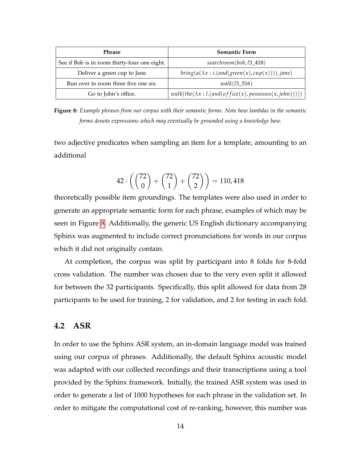<span id="page-13-0"></span>

| <b>Phrase</b>                                | <b>Semantic Form</b>                                          |
|----------------------------------------------|---------------------------------------------------------------|
| See if Bob is in room thirty-four one eight. | $searchroom(bob, l3_418)$                                     |
| Deliver a green cup to Jane                  | $bring(a(\lambda x : i. (and(green(x), cup(x))))$ , jane)     |
| Run over to room three five one six.         | $walk(13\_516)$                                               |
| Go to John's office.                         | $walk(the(\lambda x: l. (and (of\,(x), possesses(x, john))))$ |

**Figure 8:** *Example phrases from our corpus with their semantic forms. Note how lambdas in the semantic forms denote expressions which may eventually be grounded using a knowledge base.*

two adjective predicates when sampling an item for a template, amounting to an additional

$$
42 \cdot \left( \binom{72}{0} + \binom{72}{1} + \binom{72}{2} \right) = 110,418
$$

theoretically possible item groundings. The templates were also used in order to generate an appropriate semantic form for each phrase, examples of which may be seen in Figure [8.](#page-13-0) Additionally, the generic US English dictionary accompanying Sphinx was augmented to include correct pronunciations for words in our corpus which it did not originally contain.

At completion, the corpus was split by participant into 8 folds for 8-fold cross validation. The number was chosen due to the very even split it allowed for between the 32 participants. Specifically, this split allowed for data from 28 participants to be used for training, 2 for validation, and 2 for testing in each fold.

#### **4.2 ASR**

In order to use the Sphinx ASR system, an in-domain language model was trained using our corpus of phrases. Additionally, the default Sphinx acoustic model was adapted with our collected recordings and their transcriptions using a tool provided by the Sphinx framework. Initially, the trained ASR system was used in order to generate a list of 1000 hypotheses for each phrase in the validation set. In order to mitigate the computational cost of re-ranking, however, this number was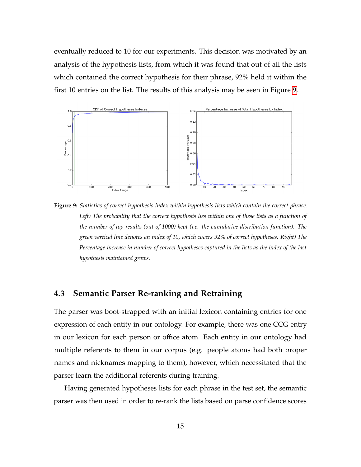eventually reduced to 10 for our experiments. This decision was motivated by an analysis of the hypothesis lists, from which it was found that out of all the lists which contained the correct hypothesis for their phrase, 92% held it within the first 10 entries on the list. The results of this analysis may be seen in Figure [9.](#page-14-0)

<span id="page-14-0"></span>

**Figure 9:** *Statistics of correct hypothesis index within hypothesis lists which contain the correct phrase. Left) The probability that the correct hypothesis lies within one of these lists as a function of the number of top results (out of 1000) kept (i.e. the cumulative distribution function). The green vertical line denotes an index of 10, which covers 92% of correct hypotheses. Right) The Percentage increase in number of correct hypotheses captured in the lists as the index of the last hypothesis maintained grows.*

### **4.3 Semantic Parser Re-ranking and Retraining**

The parser was boot-strapped with an initial lexicon containing entries for one expression of each entity in our ontology. For example, there was one CCG entry in our lexicon for each person or office atom. Each entity in our ontology had multiple referents to them in our corpus (e.g. people atoms had both proper names and nicknames mapping to them), however, which necessitated that the parser learn the additional referents during training.

Having generated hypotheses lists for each phrase in the test set, the semantic parser was then used in order to re-rank the lists based on parse confidence scores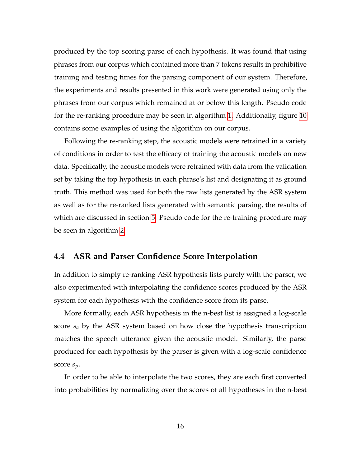produced by the top scoring parse of each hypothesis. It was found that using phrases from our corpus which contained more than 7 tokens results in prohibitive training and testing times for the parsing component of our system. Therefore, the experiments and results presented in this work were generated using only the phrases from our corpus which remained at or below this length. Pseudo code for the re-ranking procedure may be seen in algorithm [1.](#page-17-0) Additionally, figure [10](#page-16-0) contains some examples of using the algorithm on our corpus.

Following the re-ranking step, the acoustic models were retrained in a variety of conditions in order to test the efficacy of training the acoustic models on new data. Specifically, the acoustic models were retrained with data from the validation set by taking the top hypothesis in each phrase's list and designating it as ground truth. This method was used for both the raw lists generated by the ASR system as well as for the re-ranked lists generated with semantic parsing, the results of which are discussed in section [5.](#page-19-0) Pseudo code for the re-training procedure may be seen in algorithm [2.](#page-18-0)

#### **4.4 ASR and Parser Confidence Score Interpolation**

In addition to simply re-ranking ASR hypothesis lists purely with the parser, we also experimented with interpolating the confidence scores produced by the ASR system for each hypothesis with the confidence score from its parse.

More formally, each ASR hypothesis in the n-best list is assigned a log-scale score *s<sup>a</sup>* by the ASR system based on how close the hypothesis transcription matches the speech utterance given the acoustic model. Similarly, the parse produced for each hypothesis by the parser is given with a log-scale confidence score *sp*.

In order to be able to interpolate the two scores, they are each first converted into probabilities by normalizing over the scores of all hypotheses in the n-best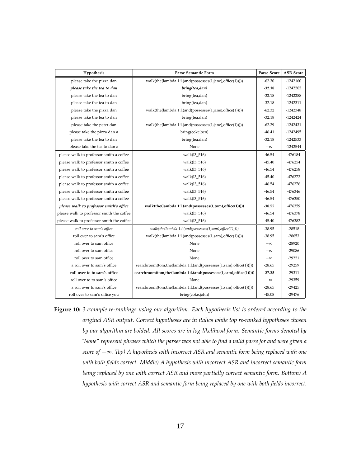<span id="page-16-0"></span>

| Hypothesis                                | <b>Parse Semantic Form</b>                                        | Parse Score | <b>ASR</b> Score |
|-------------------------------------------|-------------------------------------------------------------------|-------------|------------------|
| please take the pizza dan                 | walk(the(lambda 1:l.(and(possesses(1,jane),office(1)))))          | $-62.30$    | $-1242160$       |
| please take the tea to dan                | bring(tea,dan)                                                    | $-32.18$    | $-1242202$       |
| please take the tea to dan                | bring(tea,dan)                                                    | $-32.18$    | $-1242288$       |
| please take the tea to dan                | bring(tea,dan)                                                    | $-32.18$    | $-1242311$       |
| please take the pizza dan                 | walk(the(lambda 1:l.(and(possesses(1,jane),office(1)))))          | $-62.32$    | $-1242348$       |
| please take the tea to dan                | bring(tea,dan)                                                    | $-32.18$    | $-1242424$       |
| please take the peter dan                 | walk(the(lambda 1:l.(and(possesses(1,jane),office(1)))))          | $-62.29$    | $-1242431$       |
| please take the pizza dan a               | bring(coke,ben)                                                   | $-46.41$    | $-1242495$       |
| please take the tea to dan                | bring(tea,dan)                                                    | $-32.18$    | $-1242533$       |
| please take the tea to dan a              | None                                                              | $-\infty$   | $-1242544$       |
| please walk to professor smith a coffee   | walk(13_516)                                                      | $-46.54$    | -476184          |
| please walk to professor smith a coffee   | walk(13_516)                                                      | $-45.40$    | $-476254$        |
| please walk to professor smith a coffee   | walk(13_516)                                                      | $-46.54$    | $-476258$        |
| please walk to professor smith a coffee   | walk(13_516)                                                      | $-45.40$    | $-476272$        |
| please walk to professor smith a coffee   | walk(13_516)                                                      | $-46.54$    | $-476276$        |
| please walk to professor smith a coffee   | walk(13_516)                                                      | $-46.54$    | -476346          |
| please walk to professor smith a coffee   | walk(13_516)                                                      | $-46.54$    | $-476350$        |
| please walk to professor smith's office   | walk(the(lambda 1:l.(and(possesses(1,tom),office(1)))))           | $-38.55$    | -476359          |
| please walk to professor smith the coffee | walk(13_516)                                                      | $-46.54$    | -476378          |
| please walk to professor smith the coffee | walk(13_516)                                                      | $-45.40$    | -476382          |
| roll over to sam's office                 | walk(the(lambda 1:l.(and(possesses(1,sam),office(1)))))           | $-38.95$    | $-28518$         |
| roll over to sam's office                 | walk(the(lambda 1:l.(and(possesses(1,sam),office(1)))))           | $-38.95$    | $-28653$         |
| roll over to sam office                   | None                                                              | $-\infty$   | $-28920$         |
| roll over to sam office                   | None                                                              | $-\infty$   | $-29086$         |
| roll over to sam office                   | None                                                              | $-\infty$   | $-29221$         |
| a roll over to sam's office               | searchroom(tom,the(lambda 1:l.(and(possesses(1,sam),office(1))))) | $-28.65$    | $-29259$         |
| roll over to to sam's office              | searchroom(tom,the(lambda 1:l.(and(possesses(1,sam),office(1))))) | $-27.25$    | $-29311$         |
| roll over to to sam's office              | None                                                              | $-\infty$   | -29359           |
| a roll over to sam's office               | searchroom(tom,the(lambda 1:l.(and(possesses(1,sam),office(1))))) | $-28.65$    | $-29425$         |
| roll over to sam's office you             | bring(coke,john)                                                  | $-45.08$    | $-29476$         |

**Figure 10:** *3 example re-rankings using our algorithm. Each hypothesis list is ordered according to the original ASR output. Correct hypotheses are in italics while top re-ranked hypotheses chosen by our algorithm are bolded. All scores are in log-likelihood form. Semantic forms denoted by "None" represent phrases which the parser was not able to find a valid parse for and were given a score of* −∞*. Top) A hypothesis with incorrect ASR and semantic form being replaced with one with both fields correct. Middle) A hypothesis with incorrect ASR and incorrect semantic form being replaced by one with correct ASR and more partially correct semantic form. Bottom) A hypothesis with correct ASR and semantic form being replaced by one with both fields incorrect.*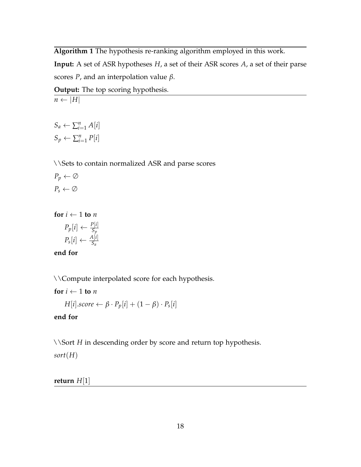<span id="page-17-0"></span>**Algorithm 1** The hypothesis re-ranking algorithm employed in this work.

**Input:** A set of ASR hypotheses *H*, a set of their ASR scores *A*, a set of their parse scores *P*, and an interpolation value *β*.

**Output:** The top scoring hypothesis.

 $S_a \leftarrow \sum_{i=1}^n A[i]$  $S_p \leftarrow \sum_{i=1}^n P[i]$ 

 $n \leftarrow |H|$ 

\\Sets to contain normalized ASR and parse scores

 $P_p \leftarrow \emptyset$  $P_s \leftarrow \emptyset$ 

**for**  $i \leftarrow 1$  **to** *n* 

$$
P_p[i] \leftarrow \frac{P[i]}{S_p}
$$

$$
P_s[i] \leftarrow \frac{A[i]}{S_a}
$$

**end for**

\\Compute interpolated score for each hypothesis.

**for**  $i \leftarrow 1$  **to** *n* 

 $H[i].score \leftarrow \beta \cdot P_p[i] + (1 - \beta) \cdot P_s[i]$ 

#### **end for**

\\Sort *H* in descending order by score and return top hypothesis.

*sort*(*H*)

**return** *H*[1]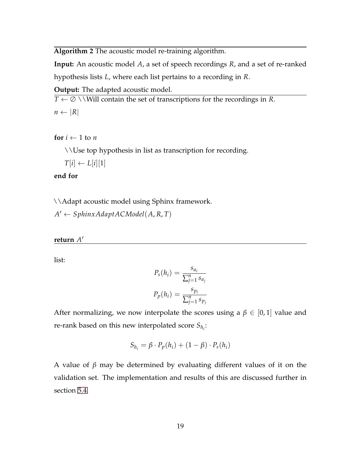<span id="page-18-0"></span>**Algorithm 2** The acoustic model re-training algorithm.

**Input:** An acoustic model *A*, a set of speech recordings *R*, and a set of re-ranked

hypothesis lists *L*, where each list pertains to a recording in *R*.

**Output:** The adapted acoustic model.

 $T \leftarrow \emptyset$  \\Will contain the set of transcriptions for the recordings in *R*.

 $n \leftarrow |R|$ 

**for**  $i \leftarrow 1$  to *n* 

\\Use top hypothesis in list as transcription for recording.

$$
T[i] \gets L[i][1]
$$

**end for**

\\Adapt acoustic model using Sphinx framework.

 $A' \leftarrow S$ phinx Adapt AC Model(A, R, T)

**return** *A* 0

list:

$$
P_s(h_i) = \frac{s_{a_i}}{\sum_{j=1}^n s_{a_j}}
$$

$$
P_p(h_i) = \frac{s_{p_i}}{\sum_{j=1}^n s_{p_j}}
$$

After normalizing, we now interpolate the scores using a  $\beta \in [0,1]$  value and re-rank based on this new interpolated score *Sh<sup>i</sup>* :

$$
S_{h_i} = \beta \cdot P_p(h_i) + (1 - \beta) \cdot P_s(h_i)
$$

A value of *β* may be determined by evaluating different values of it on the validation set. The implementation and results of this are discussed further in section [5.4.](#page-24-0)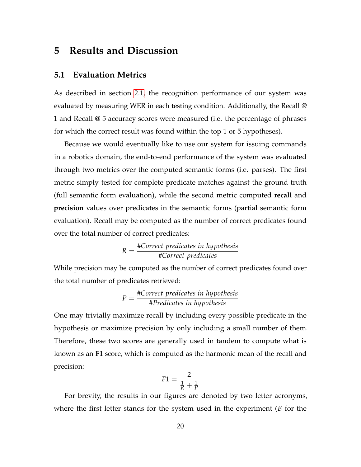# <span id="page-19-0"></span>**5 Results and Discussion**

### **5.1 Evaluation Metrics**

As described in section [2.1,](#page-1-0) the recognition performance of our system was evaluated by measuring WER in each testing condition. Additionally, the Recall @ 1 and Recall @ 5 accuracy scores were measured (i.e. the percentage of phrases for which the correct result was found within the top 1 or 5 hypotheses).

Because we would eventually like to use our system for issuing commands in a robotics domain, the end-to-end performance of the system was evaluated through two metrics over the computed semantic forms (i.e. parses). The first metric simply tested for complete predicate matches against the ground truth (full semantic form evaluation), while the second metric computed **recall** and **precision** values over predicates in the semantic forms (partial semantic form evaluation). Recall may be computed as the number of correct predicates found over the total number of correct predicates:

$$
R = \frac{\text{\#Correct predicates in hypothesis}}{\text{\#Correct predicates}}
$$

While precision may be computed as the number of correct predicates found over the total number of predicates retrieved:

$$
P = \frac{\text{#Correct predicates in hypothesis}}{\text{#Predictes in hypothesis}}
$$

One may trivially maximize recall by including every possible predicate in the hypothesis or maximize precision by only including a small number of them. Therefore, these two scores are generally used in tandem to compute what is known as an **F1** score, which is computed as the harmonic mean of the recall and precision:

$$
F1 = \frac{2}{\frac{1}{R} + \frac{1}{P}}
$$

For brevity, the results in our figures are denoted by two letter acronyms, where the first letter stands for the system used in the experiment (*B* for the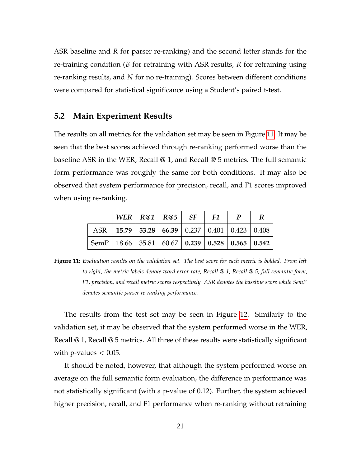ASR baseline and *R* for parser re-ranking) and the second letter stands for the re-training condition (*B* for retraining with ASR results, *R* for retraining using re-ranking results, and *N* for no re-training). Scores between different conditions were compared for statistical significance using a Student's paired t-test.

#### <span id="page-20-1"></span>**5.2 Main Experiment Results**

The results on all metrics for the validation set may be seen in Figure [11.](#page-20-0) It may be seen that the best scores achieved through re-ranking performed worse than the baseline ASR in the WER, Recall @ 1, and Recall @ 5 metrics. The full semantic form performance was roughly the same for both conditions. It may also be observed that system performance for precision, recall, and F1 scores improved when using re-ranking.

<span id="page-20-0"></span>

|                                                                                                                                                    |                                                             | WER   $R@1$   $R@5$   $SF$   $F1$ |  | $\boldsymbol{P}$ | R |
|----------------------------------------------------------------------------------------------------------------------------------------------------|-------------------------------------------------------------|-----------------------------------|--|------------------|---|
|                                                                                                                                                    | ASR   15.79   53.28   66.39   0.237   0.401   0.423   0.408 |                                   |  |                  |   |
| $\vert$ SemP $\vert$ 18.66 $\vert$ 35.81 $\vert$ 60.67 $\vert$ <b>0.239</b> $\vert$ <b>0.528</b> $\vert$ <b>0.565</b> $\vert$ <b>0.542</b> $\vert$ |                                                             |                                   |  |                  |   |

**Figure 11:** *Evaluation results on the validation set. The best score for each metric is bolded. From left to right, the metric labels denote word error rate, Recall @ 1, Recall @ 5, full semantic form, F1, precision, and recall metric scores respectively. ASR denotes the baseline score while SemP denotes semantic parser re-ranking performance.*

The results from the test set may be seen in Figure [12.](#page-21-0) Similarly to the validation set, it may be observed that the system performed worse in the WER, Recall @ 1, Recall @ 5 metrics. All three of these results were statistically significant with p-values  $< 0.05$ .

It should be noted, however, that although the system performed worse on average on the full semantic form evaluation, the difference in performance was not statistically significant (with a p-value of 0.12). Further, the system achieved higher precision, recall, and F1 performance when re-ranking without retraining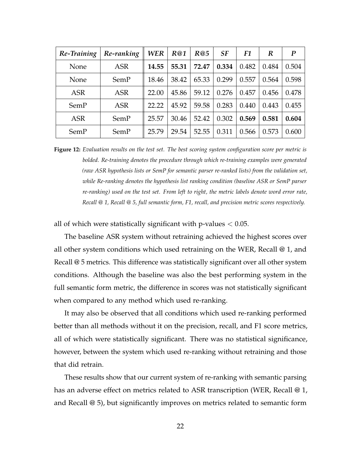<span id="page-21-0"></span>

| Re-Training | Re-ranking | <b>WER</b> | R@1   | R@5   | SF    | F1    | R     | $\bm{P}$ |
|-------------|------------|------------|-------|-------|-------|-------|-------|----------|
| None        | ASR        | 14.55      | 55.31 | 72.47 | 0.334 | 0.482 | 0.484 | 0.504    |
| None        | SemP       | 18.46      | 38.42 | 65.33 | 0.299 | 0.557 | 0.564 | 0.598    |
| <b>ASR</b>  | ASR        | 22.00      | 45.86 | 59.12 | 0.276 | 0.457 | 0.456 | 0.478    |
| SemP        | <b>ASR</b> | 22.22      | 45.92 | 59.58 | 0.283 | 0.440 | 0.443 | 0.455    |
| <b>ASR</b>  | SemP       | 25.57      | 30.46 | 52.42 | 0.302 | 0.569 | 0.581 | 0.604    |
| SemP        | SemP       | 25.79      | 29.54 | 52.55 | 0.311 | 0.566 | 0.573 | 0.600    |

**Figure 12:** *Evaluation results on the test set. The best scoring system configuration score per metric is bolded. Re-training denotes the procedure through which re-training examples were generated (raw ASR hypothesis lists or SemP for semantic parser re-ranked lists) from the validation set, while Re-ranking denotes the hypothesis list ranking condition (baseline ASR or SemP parser re-ranking) used on the test set. From left to right, the metric labels denote word error rate, Recall @ 1, Recall @ 5, full semantic form, F1, recall, and precision metric scores respectively.*

all of which were statistically significant with  $p$ -values  $< 0.05$ .

The baseline ASR system without retraining achieved the highest scores over all other system conditions which used retraining on the WER, Recall @ 1, and Recall @ 5 metrics. This difference was statistically significant over all other system conditions. Although the baseline was also the best performing system in the full semantic form metric, the difference in scores was not statistically significant when compared to any method which used re-ranking.

It may also be observed that all conditions which used re-ranking performed better than all methods without it on the precision, recall, and F1 score metrics, all of which were statistically significant. There was no statistical significance, however, between the system which used re-ranking without retraining and those that did retrain.

These results show that our current system of re-ranking with semantic parsing has an adverse effect on metrics related to ASR transcription (WER, Recall @ 1, and Recall @ 5), but significantly improves on metrics related to semantic form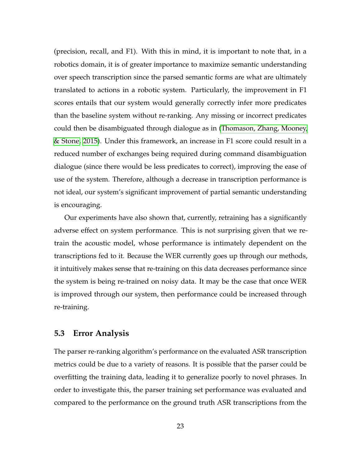(precision, recall, and F1). With this in mind, it is important to note that, in a robotics domain, it is of greater importance to maximize semantic understanding over speech transcription since the parsed semantic forms are what are ultimately translated to actions in a robotic system. Particularly, the improvement in F1 scores entails that our system would generally correctly infer more predicates than the baseline system without re-ranking. Any missing or incorrect predicates could then be disambiguated through dialogue as in [\(Thomason, Zhang, Mooney,](#page-34-8) [& Stone, 2015\)](#page-34-8). Under this framework, an increase in F1 score could result in a reduced number of exchanges being required during command disambiguation dialogue (since there would be less predicates to correct), improving the ease of use of the system. Therefore, although a decrease in transcription performance is not ideal, our system's significant improvement of partial semantic understanding is encouraging.

Our experiments have also shown that, currently, retraining has a significantly adverse effect on system performance. This is not surprising given that we retrain the acoustic model, whose performance is intimately dependent on the transcriptions fed to it. Because the WER currently goes up through our methods, it intuitively makes sense that re-training on this data decreases performance since the system is being re-trained on noisy data. It may be the case that once WER is improved through our system, then performance could be increased through re-training.

### <span id="page-22-0"></span>**5.3 Error Analysis**

The parser re-ranking algorithm's performance on the evaluated ASR transcription metrics could be due to a variety of reasons. It is possible that the parser could be overfitting the training data, leading it to generalize poorly to novel phrases. In order to investigate this, the parser training set performance was evaluated and compared to the performance on the ground truth ASR transcriptions from the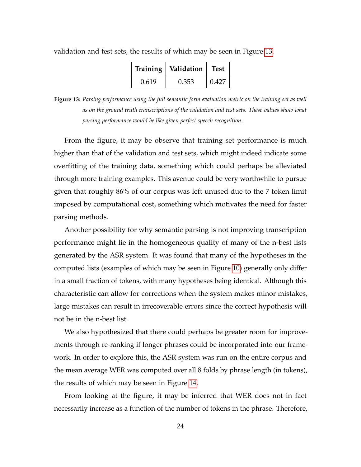| Training | Validation | Test  |
|----------|------------|-------|
| 0.619    | 0.353      | 0.427 |

<span id="page-23-0"></span>validation and test sets, the results of which may be seen in Figure [13.](#page-23-0)

**Figure 13:** *Parsing performance using the full semantic form evaluation metric on the training set as well as on the ground truth transcriptions of the validation and test sets. These values show what parsing performance would be like given perfect speech recognition.*

From the figure, it may be observe that training set performance is much higher than that of the validation and test sets, which might indeed indicate some overfitting of the training data, something which could perhaps be alleviated through more training examples. This avenue could be very worthwhile to pursue given that roughly 86% of our corpus was left unused due to the 7 token limit imposed by computational cost, something which motivates the need for faster parsing methods.

Another possibility for why semantic parsing is not improving transcription performance might lie in the homogeneous quality of many of the n-best lists generated by the ASR system. It was found that many of the hypotheses in the computed lists (examples of which may be seen in Figure [10\)](#page-16-0) generally only differ in a small fraction of tokens, with many hypotheses being identical. Although this characteristic can allow for corrections when the system makes minor mistakes, large mistakes can result in irrecoverable errors since the correct hypothesis will not be in the n-best list.

We also hypothesized that there could perhaps be greater room for improvements through re-ranking if longer phrases could be incorporated into our framework. In order to explore this, the ASR system was run on the entire corpus and the mean average WER was computed over all 8 folds by phrase length (in tokens), the results of which may be seen in Figure [14.](#page-24-1)

From looking at the figure, it may be inferred that WER does not in fact necessarily increase as a function of the number of tokens in the phrase. Therefore,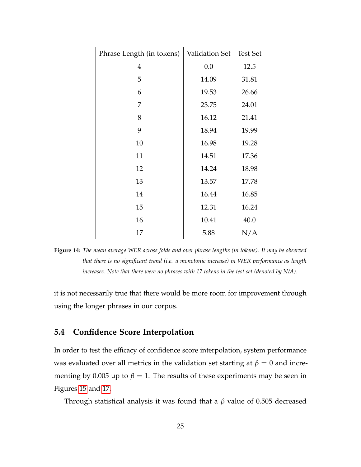<span id="page-24-1"></span>

| Phrase Length (in tokens) | Validation Set | <b>Test Set</b> |
|---------------------------|----------------|-----------------|
| $\overline{4}$            | 0.0            | 12.5            |
| 5                         | 14.09          | 31.81           |
| 6                         | 19.53          | 26.66           |
| 7                         | 23.75          | 24.01           |
| 8                         | 16.12          | 21.41           |
| 9                         | 18.94          | 19.99           |
| 10                        | 16.98          | 19.28           |
| 11                        | 14.51          | 17.36           |
| 12                        | 14.24          | 18.98           |
| 13                        | 13.57          | 17.78           |
| 14                        | 16.44          | 16.85           |
| 15                        | 12.31          | 16.24           |
| 16                        | 10.41          | 40.0            |
| 17                        | 5.88           | N/A             |

**Figure 14:** *The mean average WER across folds and over phrase lengths (in tokens). It may be observed that there is no significant trend (i.e. a monotonic increase) in WER performance as length increases. Note that there were no phrases with 17 tokens in the test set (denoted by N/A).*

it is not necessarily true that there would be more room for improvement through using the longer phrases in our corpus.

### <span id="page-24-0"></span>**5.4 Confidence Score Interpolation**

In order to test the efficacy of confidence score interpolation, system performance was evaluated over all metrics in the validation set starting at  $\beta = 0$  and incrementing by 0.005 up to  $\beta = 1$ . The results of these experiments may be seen in Figures [15](#page-25-0) and [17.](#page-27-0)

Through statistical analysis it was found that a *β* value of 0.505 decreased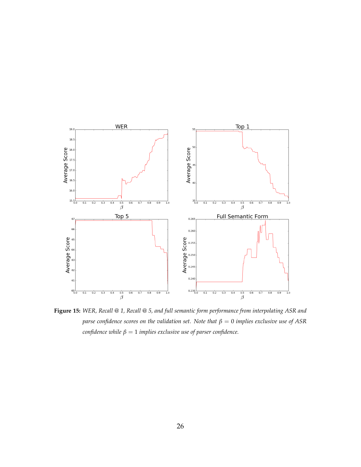<span id="page-25-0"></span>

**Figure 15:** *WER, Recall @ 1, Recall @ 5, and full semantic form performance from interpolating ASR and parse confidence scores on the validation set. Note that β* = 0 *implies exclusive use of ASR confidence while*  $\beta = 1$  *implies exclusive use of parser confidence.*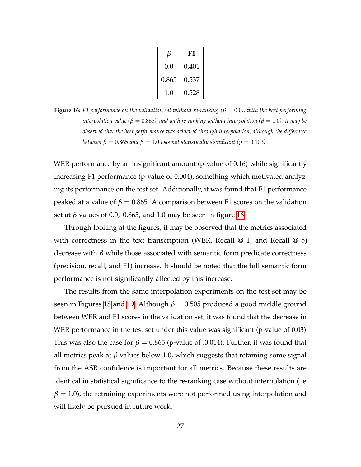| β     | F1    |
|-------|-------|
| 0.0   | 0.401 |
| 0.865 | 0.537 |
| 1.0   | 0.528 |

<span id="page-26-0"></span>**Figure 16:** F1 performance on the validation set without re-ranking ( $\beta = 0.0$ ), with the best performing *interpolation value* ( $\beta = 0.865$ ), and with re-ranking without interpolation ( $\beta = 1.0$ ). It may be *observed that the best performance was achieved through interpolation, although the difference between*  $\beta = 0.865$  *and*  $\beta = 1.0$  *was not statistically significant* ( $p = 0.103$ ).

WER performance by an insignificant amount (p-value of 0.16) while significantly increasing F1 performance (p-value of 0.004), something which motivated analyzing its performance on the test set. Additionally, it was found that F1 performance peaked at a value of  $β = 0.865$ . A comparison between F1 scores on the validation set at  $\beta$  values of 0.0, 0.865, and 1.0 may be seen in figure [16.](#page-26-0)

Through looking at the figures, it may be observed that the metrics associated with correctness in the text transcription (WER, Recall  $@ 1$ , and Recall  $@ 5$ ) decrease with *β* while those associated with semantic form predicate correctness (precision, recall, and F1) increase. It should be noted that the full semantic form performance is not significantly affected by this increase.

The results from the same interpolation experiments on the test set may be seen in Figures [18](#page-28-0) and [19.](#page-29-0) Although  $\beta = 0.505$  produced a good middle ground between WER and F1 scores in the validation set, it was found that the decrease in WER performance in the test set under this value was significant (p-value of 0.03). This was also the case for  $\beta = 0.865$  (p-value of .0.014). Further, it was found that all metrics peak at *β* values below 1.0, which suggests that retaining some signal from the ASR confidence is important for all metrics. Because these results are identical in statistical significance to the re-ranking case without interpolation (i.e.  $\beta = 1.0$ ), the retraining experiments were not performed using interpolation and will likely be pursued in future work.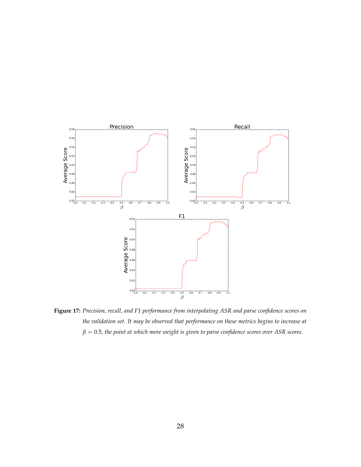<span id="page-27-0"></span>

**Figure 17:** *Precision, recall, and F1 performance from interpolating ASR and parse confidence scores on the validation set. It may be observed that performance on these metrics begins to increase at*  $\beta = 0.5$ , the point at which more weight is given to parse confidence scores over ASR scores.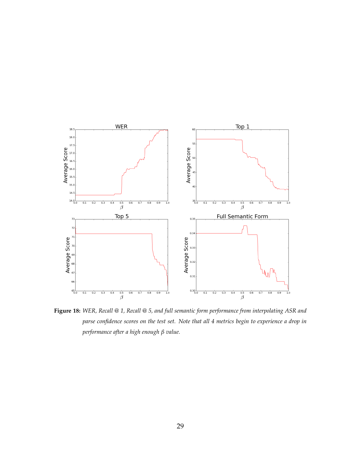<span id="page-28-0"></span>

**Figure 18:** *WER, Recall @ 1, Recall @ 5, and full semantic form performance from interpolating ASR and parse confidence scores on the test set. Note that all 4 metrics begin to experience a drop in performance after a high enough β value.*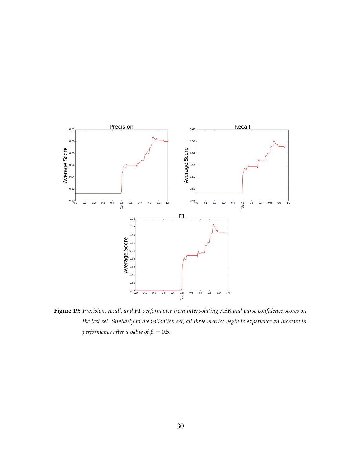<span id="page-29-0"></span>

**Figure 19:** *Precision, recall, and F1 performance from interpolating ASR and parse confidence scores on the test set. Similarly to the validation set, all three metrics begin to experience an increase in performance after a value of*  $\beta = 0.5$ *.*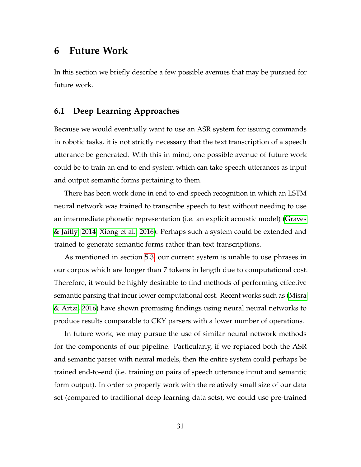### **6 Future Work**

In this section we briefly describe a few possible avenues that may be pursued for future work.

### **6.1 Deep Learning Approaches**

Because we would eventually want to use an ASR system for issuing commands in robotic tasks, it is not strictly necessary that the text transcription of a speech utterance be generated. With this in mind, one possible avenue of future work could be to train an end to end system which can take speech utterances as input and output semantic forms pertaining to them.

There has been work done in end to end speech recognition in which an LSTM neural network was trained to transcribe speech to text without needing to use an intermediate phonetic representation (i.e. an explicit acoustic model) [\(Graves](#page-33-3) [& Jaitly, 2014;](#page-33-3) [Xiong et al., 2016\)](#page-35-2). Perhaps such a system could be extended and trained to generate semantic forms rather than text transcriptions.

As mentioned in section [5.3,](#page-22-0) our current system is unable to use phrases in our corpus which are longer than 7 tokens in length due to computational cost. Therefore, it would be highly desirable to find methods of performing effective semantic parsing that incur lower computational cost. Recent works such as [\(Misra](#page-34-9) [& Artzi, 2016\)](#page-34-9) have shown promising findings using neural neural networks to produce results comparable to CKY parsers with a lower number of operations.

In future work, we may pursue the use of similar neural network methods for the components of our pipeline. Particularly, if we replaced both the ASR and semantic parser with neural models, then the entire system could perhaps be trained end-to-end (i.e. training on pairs of speech utterance input and semantic form output). In order to properly work with the relatively small size of our data set (compared to traditional deep learning data sets), we could use pre-trained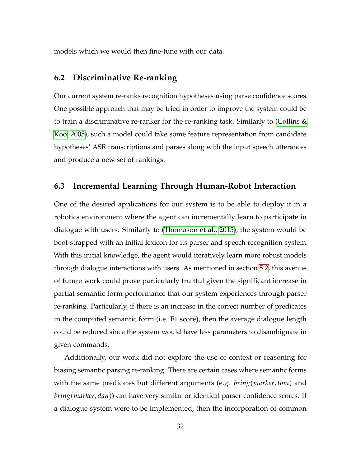models which we would then fine-tune with our data.

#### **6.2 Discriminative Re-ranking**

Our current system re-ranks recognition hypotheses using parse confidence scores. One possible approach that may be tried in order to improve the system could be to train a discriminative re-ranker for the re-ranking task. Similarly to [\(Collins &](#page-33-10) [Koo, 2005\)](#page-33-10), such a model could take some feature representation from candidate hypotheses' ASR transcriptions and parses along with the input speech utterances and produce a new set of rankings.

### **6.3 Incremental Learning Through Human-Robot Interaction**

One of the desired applications for our system is to be able to deploy it in a robotics environment where the agent can incrementally learn to participate in dialogue with users. Similarly to [\(Thomason et al., 2015\)](#page-34-8), the system would be boot-strapped with an initial lexicon for its parser and speech recognition system. With this initial knowledge, the agent would iteratively learn more robust models through dialogue interactions with users. As mentioned in section [5.2,](#page-20-1) this avenue of future work could prove particularly fruitful given the significant increase in partial semantic form performance that our system experiences through parser re-ranking. Particularly, if there is an increase in the correct number of predicates in the computed semantic form (i.e. F1 score), then the average dialogue length could be reduced since the system would have less parameters to disambiguate in given commands.

Additionally, our work did not explore the use of context or reasoning for biasing semantic parsing re-ranking. There are certain cases where semantic forms with the same predicates but different arguments (e.g. *bring*(*marker*, *tom*) and *bring*(*marker*, *dan*)) can have very similar or identical parser confidence scores. If a dialogue system were to be implemented, then the incorporation of common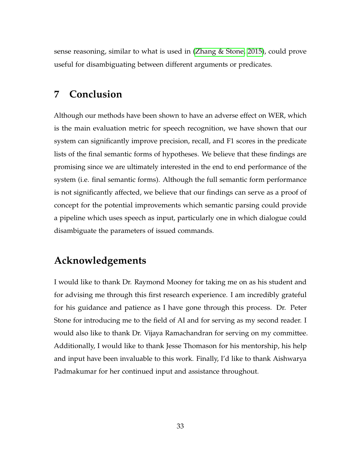sense reasoning, similar to what is used in [\(Zhang & Stone, 2015\)](#page-35-5), could prove useful for disambiguating between different arguments or predicates.

## **7 Conclusion**

Although our methods have been shown to have an adverse effect on WER, which is the main evaluation metric for speech recognition, we have shown that our system can significantly improve precision, recall, and F1 scores in the predicate lists of the final semantic forms of hypotheses. We believe that these findings are promising since we are ultimately interested in the end to end performance of the system (i.e. final semantic forms). Although the full semantic form performance is not significantly affected, we believe that our findings can serve as a proof of concept for the potential improvements which semantic parsing could provide a pipeline which uses speech as input, particularly one in which dialogue could disambiguate the parameters of issued commands.

## **Acknowledgements**

I would like to thank Dr. Raymond Mooney for taking me on as his student and for advising me through this first research experience. I am incredibly grateful for his guidance and patience as I have gone through this process. Dr. Peter Stone for introducing me to the field of AI and for serving as my second reader. I would also like to thank Dr. Vijaya Ramachandran for serving on my committee. Additionally, I would like to thank Jesse Thomason for his mentorship, his help and input have been invaluable to this work. Finally, I'd like to thank Aishwarya Padmakumar for her continued input and assistance throughout.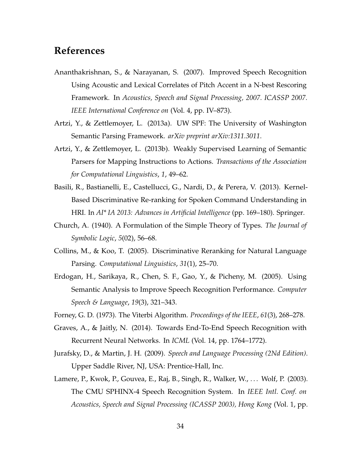# **References**

- <span id="page-33-7"></span>Ananthakrishnan, S., & Narayanan, S. (2007). Improved Speech Recognition Using Acoustic and Lexical Correlates of Pitch Accent in a N-best Rescoring Framework. In *Acoustics, Speech and Signal Processing, 2007. ICASSP 2007. IEEE International Conference on* (Vol. 4, pp. IV–873).
- <span id="page-33-4"></span>Artzi, Y., & Zettlemoyer, L. (2013a). UW SPF: The University of Washington Semantic Parsing Framework. *arXiv preprint arXiv:1311.3011*.
- <span id="page-33-6"></span>Artzi, Y., & Zettlemoyer, L. (2013b). Weakly Supervised Learning of Semantic Parsers for Mapping Instructions to Actions. *Transactions of the Association for Computational Linguistics*, *1*, 49–62.
- <span id="page-33-8"></span>Basili, R., Bastianelli, E., Castellucci, G., Nardi, D., & Perera, V. (2013). Kernel-Based Discriminative Re-ranking for Spoken Command Understanding in HRI. In *AI\* IA 2013: Advances in Artificial Intelligence* (pp. 169–180). Springer.
- <span id="page-33-5"></span>Church, A. (1940). A Formulation of the Simple Theory of Types. *The Journal of Symbolic Logic*, *5*(02), 56–68.
- <span id="page-33-10"></span>Collins, M., & Koo, T. (2005). Discriminative Reranking for Natural Language Parsing. *Computational Linguistics*, *31*(1), 25–70.
- <span id="page-33-9"></span>Erdogan, H., Sarikaya, R., Chen, S. F., Gao, Y., & Picheny, M. (2005). Using Semantic Analysis to Improve Speech Recognition Performance. *Computer Speech & Language*, *19*(3), 321–343.
- <span id="page-33-3"></span><span id="page-33-1"></span>Forney, G. D. (1973). The Viterbi Algorithm. *Proceedings of the IEEE*, *61*(3), 268–278.
- Graves, A., & Jaitly, N. (2014). Towards End-To-End Speech Recognition with Recurrent Neural Networks. In *ICML* (Vol. 14, pp. 1764–1772).
- <span id="page-33-0"></span>Jurafsky, D., & Martin, J. H. (2009). *Speech and Language Processing (2Nd Edition)*. Upper Saddle River, NJ, USA: Prentice-Hall, Inc.
- <span id="page-33-2"></span>Lamere, P., Kwok, P., Gouvea, E., Raj, B., Singh, R., Walker, W., . . . Wolf, P. (2003). The CMU SPHINX-4 Speech Recognition System. In *IEEE Intl. Conf. on Acoustics, Speech and Signal Processing (ICASSP 2003), Hong Kong* (Vol. 1, pp.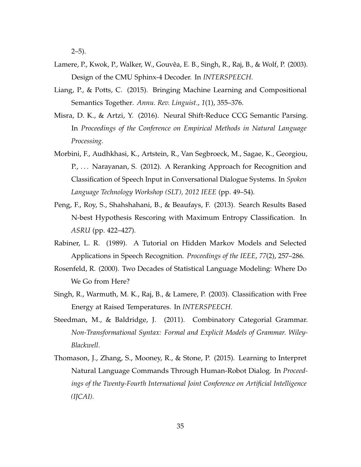$2-5$ ).

- <span id="page-34-2"></span>Lamere, P., Kwok, P., Walker, W., Gouvêa, E. B., Singh, R., Raj, B., & Wolf, P. (2003). Design of the CMU Sphinx-4 Decoder. In *INTERSPEECH.*
- <span id="page-34-4"></span>Liang, P., & Potts, C. (2015). Bringing Machine Learning and Compositional Semantics Together. *Annu. Rev. Linguist.*, *1*(1), 355–376.
- <span id="page-34-9"></span>Misra, D. K., & Artzi, Y. (2016). Neural Shift-Reduce CCG Semantic Parsing. In *Proceedings of the Conference on Empirical Methods in Natural Language Processing.*
- <span id="page-34-7"></span>Morbini, F., Audhkhasi, K., Artstein, R., Van Segbroeck, M., Sagae, K., Georgiou, P., ... Narayanan, S. (2012). A Reranking Approach for Recognition and Classification of Speech Input in Conversational Dialogue Systems. In *Spoken Language Technology Workshop (SLT), 2012 IEEE* (pp. 49–54).
- <span id="page-34-6"></span>Peng, F., Roy, S., Shahshahani, B., & Beaufays, F. (2013). Search Results Based N-best Hypothesis Rescoring with Maximum Entropy Classification. In *ASRU* (pp. 422–427).
- <span id="page-34-1"></span>Rabiner, L. R. (1989). A Tutorial on Hidden Markov Models and Selected Applications in Speech Recognition. *Proceedings of the IEEE*, *77*(2), 257–286.
- <span id="page-34-0"></span>Rosenfeld, R. (2000). Two Decades of Statistical Language Modeling: Where Do We Go from Here?
- <span id="page-34-3"></span>Singh, R., Warmuth, M. K., Raj, B., & Lamere, P. (2003). Classification with Free Energy at Raised Temperatures. In *INTERSPEECH.*
- <span id="page-34-5"></span>Steedman, M., & Baldridge, J. (2011). Combinatory Categorial Grammar. *Non-Transformational Syntax: Formal and Explicit Models of Grammar. Wiley-Blackwell*.
- <span id="page-34-8"></span>Thomason, J., Zhang, S., Mooney, R., & Stone, P. (2015). Learning to Interpret Natural Language Commands Through Human-Robot Dialog. In *Proceedings of the Twenty-Fourth International Joint Conference on Artificial Intelligence (IJCAI).*